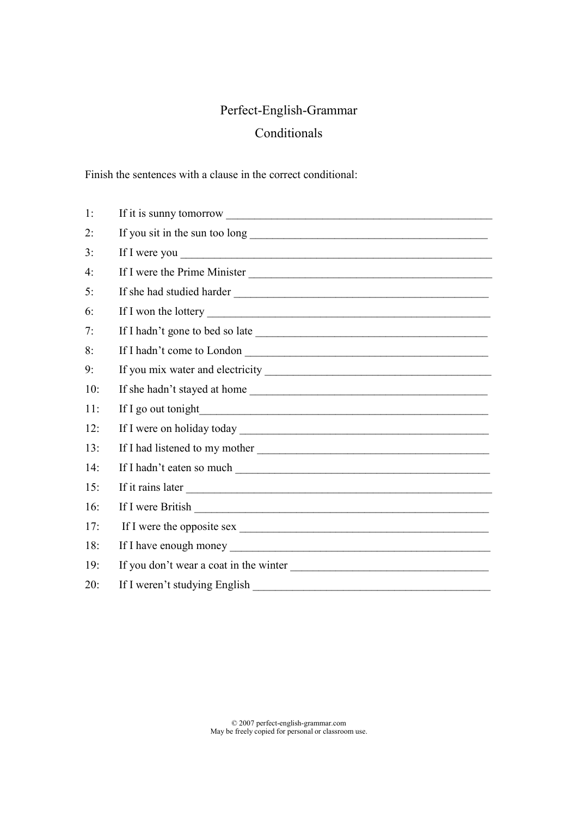## Perfect-English-Grammar Conditionals

Finish the sentences with a clause in the correct conditional:

| 1:  |                                                                                                                                              |
|-----|----------------------------------------------------------------------------------------------------------------------------------------------|
| 2:  |                                                                                                                                              |
| 3:  |                                                                                                                                              |
| 4:  | If I were the Prime Minister                                                                                                                 |
| 5:  |                                                                                                                                              |
| 6:  |                                                                                                                                              |
| 7:  |                                                                                                                                              |
| 8:  |                                                                                                                                              |
| 9:  |                                                                                                                                              |
| 10: |                                                                                                                                              |
| 11: | If I go out tonight<br><u> 1989 - Jan Stern Stern Stern Stern Stern Stern Stern Stern Stern Stern Stern Stern Stern Stern Stern Stern St</u> |
| 12: |                                                                                                                                              |
| 13: |                                                                                                                                              |
| 14: |                                                                                                                                              |
| 15: |                                                                                                                                              |
| 16: |                                                                                                                                              |
| 17: |                                                                                                                                              |
| 18: |                                                                                                                                              |
| 19: |                                                                                                                                              |
| 20: | If I weren't studying English                                                                                                                |